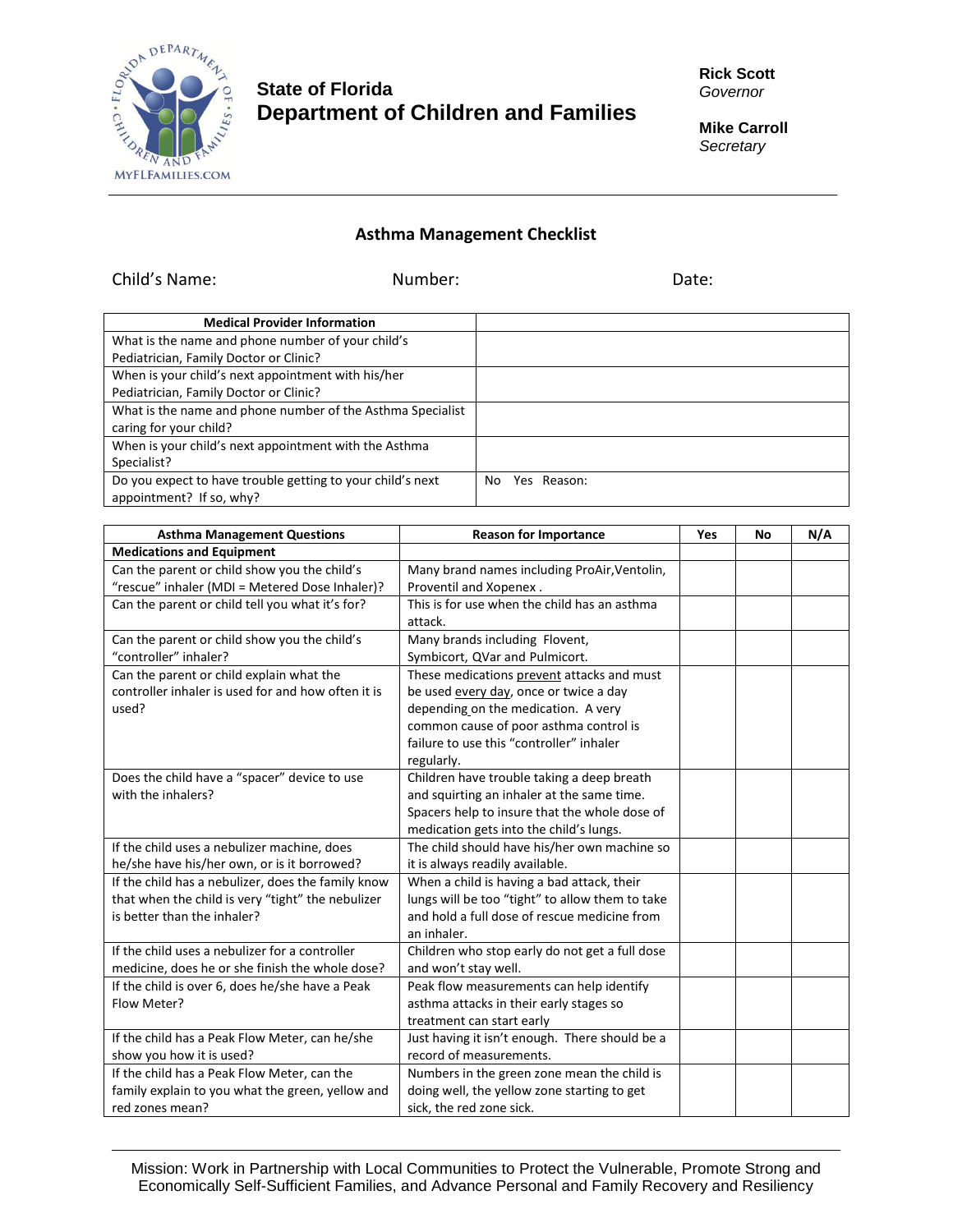

## **State of Florida Department of Children and Families**

Child's Name: Number: Date:

**Rick Scott** *Governor*

**Mike Carroll** *Secretary*

## **Asthma Management Checklist**

| <b>Medical Provider Information</b>                        |                    |
|------------------------------------------------------------|--------------------|
| What is the name and phone number of your child's          |                    |
| Pediatrician, Family Doctor or Clinic?                     |                    |
| When is your child's next appointment with his/her         |                    |
| Pediatrician, Family Doctor or Clinic?                     |                    |
| What is the name and phone number of the Asthma Specialist |                    |
| caring for your child?                                     |                    |
| When is your child's next appointment with the Asthma      |                    |
| Specialist?                                                |                    |
| Do you expect to have trouble getting to your child's next | Yes Reason:<br>No. |
| appointment? If so, why?                                   |                    |

| <b>Asthma Management Questions</b>                 | <b>Reason for Importance</b>                    | Yes | No | N/A |
|----------------------------------------------------|-------------------------------------------------|-----|----|-----|
| <b>Medications and Equipment</b>                   |                                                 |     |    |     |
| Can the parent or child show you the child's       | Many brand names including ProAir, Ventolin,    |     |    |     |
| "rescue" inhaler (MDI = Metered Dose Inhaler)?     | Proventil and Xopenex.                          |     |    |     |
| Can the parent or child tell you what it's for?    | This is for use when the child has an asthma    |     |    |     |
|                                                    | attack.                                         |     |    |     |
| Can the parent or child show you the child's       | Many brands including Flovent,                  |     |    |     |
| "controller" inhaler?                              | Symbicort, QVar and Pulmicort.                  |     |    |     |
| Can the parent or child explain what the           | These medications prevent attacks and must      |     |    |     |
| controller inhaler is used for and how often it is | be used every day, once or twice a day          |     |    |     |
| used?                                              | depending on the medication. A very             |     |    |     |
|                                                    | common cause of poor asthma control is          |     |    |     |
|                                                    | failure to use this "controller" inhaler        |     |    |     |
|                                                    | regularly.                                      |     |    |     |
| Does the child have a "spacer" device to use       | Children have trouble taking a deep breath      |     |    |     |
| with the inhalers?                                 | and squirting an inhaler at the same time.      |     |    |     |
|                                                    | Spacers help to insure that the whole dose of   |     |    |     |
|                                                    | medication gets into the child's lungs.         |     |    |     |
| If the child uses a nebulizer machine, does        | The child should have his/her own machine so    |     |    |     |
| he/she have his/her own, or is it borrowed?        | it is always readily available.                 |     |    |     |
| If the child has a nebulizer, does the family know | When a child is having a bad attack, their      |     |    |     |
| that when the child is very "tight" the nebulizer  | lungs will be too "tight" to allow them to take |     |    |     |
| is better than the inhaler?                        | and hold a full dose of rescue medicine from    |     |    |     |
|                                                    | an inhaler.                                     |     |    |     |
| If the child uses a nebulizer for a controller     | Children who stop early do not get a full dose  |     |    |     |
| medicine, does he or she finish the whole dose?    | and won't stay well.                            |     |    |     |
| If the child is over 6, does he/she have a Peak    | Peak flow measurements can help identify        |     |    |     |
| Flow Meter?                                        | asthma attacks in their early stages so         |     |    |     |
|                                                    | treatment can start early                       |     |    |     |
| If the child has a Peak Flow Meter, can he/she     | Just having it isn't enough. There should be a  |     |    |     |
| show you how it is used?                           | record of measurements.                         |     |    |     |
| If the child has a Peak Flow Meter, can the        | Numbers in the green zone mean the child is     |     |    |     |
| family explain to you what the green, yellow and   | doing well, the yellow zone starting to get     |     |    |     |
| red zones mean?                                    | sick, the red zone sick.                        |     |    |     |